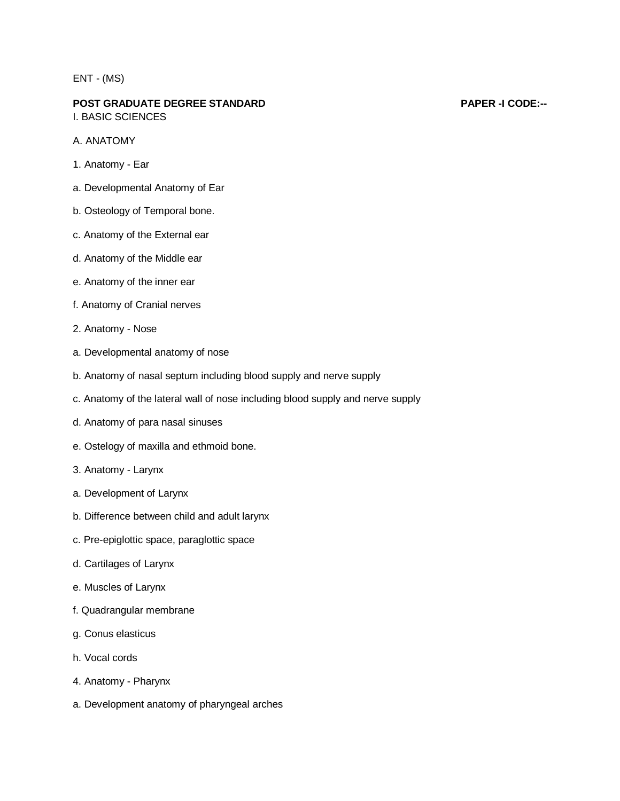# ENT - (MS)

#### **POST GRADUATE DEGREE STANDARD PAPER -I CODE:--** I. BASIC SCIENCES

A. ANATOMY

- 1. Anatomy Ear
- a. Developmental Anatomy of Ear
- b. Osteology of Temporal bone.
- c. Anatomy of the External ear
- d. Anatomy of the Middle ear
- e. Anatomy of the inner ear
- f. Anatomy of Cranial nerves
- 2. Anatomy Nose
- a. Developmental anatomy of nose
- b. Anatomy of nasal septum including blood supply and nerve supply
- c. Anatomy of the lateral wall of nose including blood supply and nerve supply
- d. Anatomy of para nasal sinuses
- e. Ostelogy of maxilla and ethmoid bone.
- 3. Anatomy Larynx
- a. Development of Larynx
- b. Difference between child and adult larynx
- c. Pre-epiglottic space, paraglottic space
- d. Cartilages of Larynx
- e. Muscles of Larynx
- f. Quadrangular membrane
- g. Conus elasticus
- h. Vocal cords
- 4. Anatomy Pharynx
- a. Development anatomy of pharyngeal arches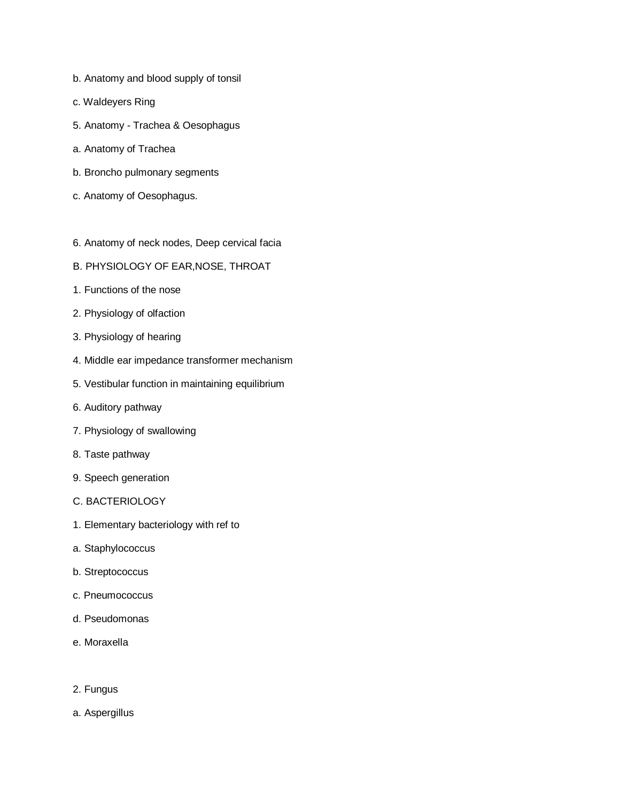- b. Anatomy and blood supply of tonsil
- c. Waldeyers Ring
- 5. Anatomy Trachea & Oesophagus
- a. Anatomy of Trachea
- b. Broncho pulmonary segments
- c. Anatomy of Oesophagus.
- 6. Anatomy of neck nodes, Deep cervical facia
- B. PHYSIOLOGY OF EAR,NOSE, THROAT
- 1. Functions of the nose
- 2. Physiology of olfaction
- 3. Physiology of hearing
- 4. Middle ear impedance transformer mechanism
- 5. Vestibular function in maintaining equilibrium
- 6. Auditory pathway
- 7. Physiology of swallowing
- 8. Taste pathway
- 9. Speech generation
- C. BACTERIOLOGY
- 1. Elementary bacteriology with ref to
- a. Staphylococcus
- b. Streptococcus
- c. Pneumococcus
- d. Pseudomonas
- e. Moraxella
- 2. Fungus
- a. Aspergillus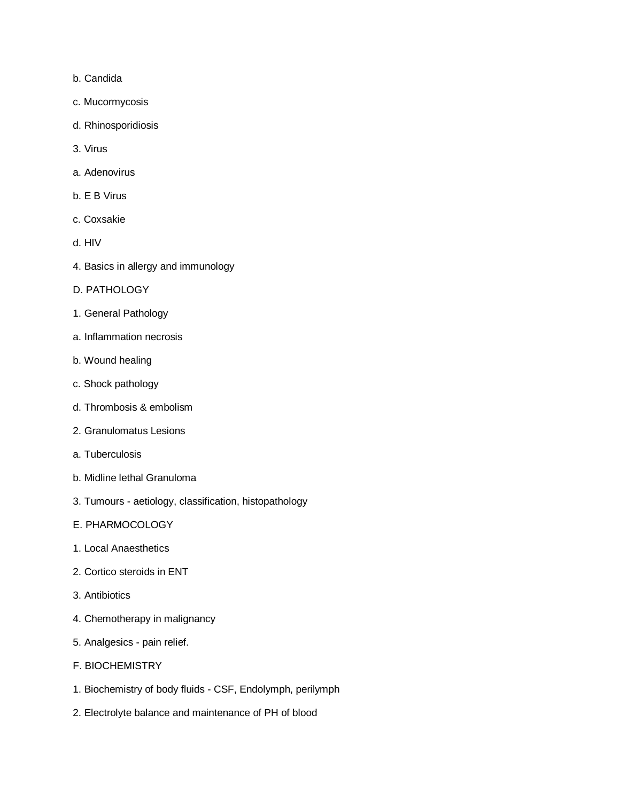- b. Candida
- c. Mucormycosis
- d. Rhinosporidiosis
- 3. Virus
- a. Adenovirus
- b. E B Virus
- c. Coxsakie
- d. HIV
- 4. Basics in allergy and immunology
- D. PATHOLOGY
- 1. General Pathology
- a. Inflammation necrosis
- b. Wound healing
- c. Shock pathology
- d. Thrombosis & embolism
- 2. Granulomatus Lesions
- a. Tuberculosis
- b. Midline lethal Granuloma
- 3. Tumours aetiology, classification, histopathology
- E. PHARMOCOLOGY
- 1. Local Anaesthetics
- 2. Cortico steroids in ENT
- 3. Antibiotics
- 4. Chemotherapy in malignancy
- 5. Analgesics pain relief.
- F. BIOCHEMISTRY
- 1. Biochemistry of body fluids CSF, Endolymph, perilymph
- 2. Electrolyte balance and maintenance of PH of blood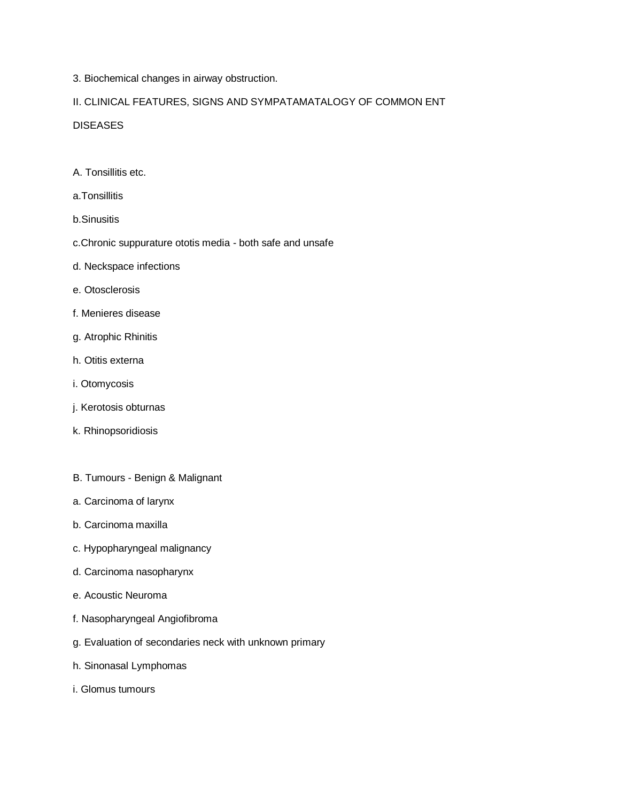3. Biochemical changes in airway obstruction.

## II. CLINICAL FEATURES, SIGNS AND SYMPATAMATALOGY OF COMMON ENT

### **DISEASES**

- A. Tonsillitis etc.
- a.Tonsillitis
- b.Sinusitis
- c.Chronic suppurature ototis media both safe and unsafe
- d. Neckspace infections
- e. Otosclerosis
- f. Menieres disease
- g. Atrophic Rhinitis
- h. Otitis externa
- i. Otomycosis
- j. Kerotosis obturnas
- k. Rhinopsoridiosis
- B. Tumours Benign & Malignant
- a. Carcinoma of larynx
- b. Carcinoma maxilla
- c. Hypopharyngeal malignancy
- d. Carcinoma nasopharynx
- e. Acoustic Neuroma
- f. Nasopharyngeal Angiofibroma
- g. Evaluation of secondaries neck with unknown primary
- h. Sinonasal Lymphomas
- i. Glomus tumours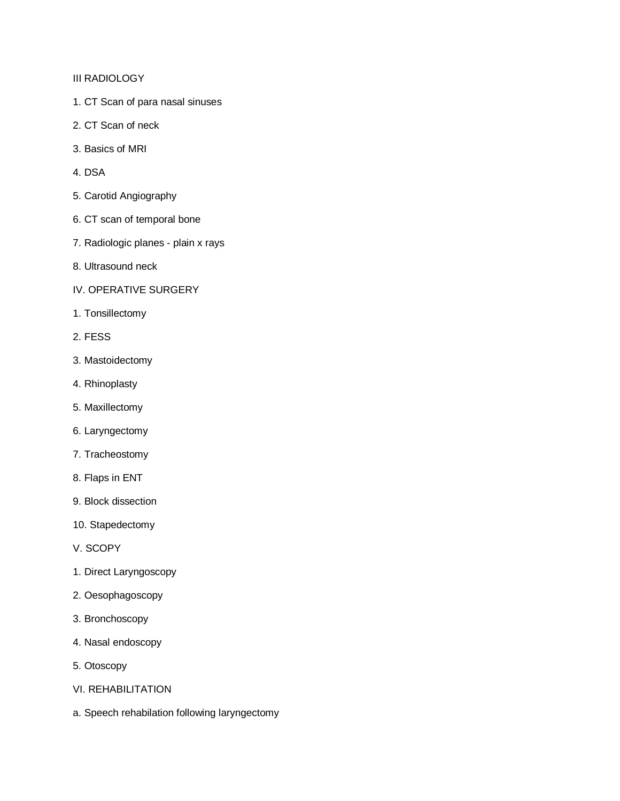III RADIOLOGY

- 1. CT Scan of para nasal sinuses
- 2. CT Scan of neck
- 3. Basics of MRI
- 4. DSA
- 5. Carotid Angiography
- 6. CT scan of temporal bone
- 7. Radiologic planes plain x rays
- 8. Ultrasound neck
- IV. OPERATIVE SURGERY
- 1. Tonsillectomy
- 2. FESS
- 3. Mastoidectomy
- 4. Rhinoplasty
- 5. Maxillectomy
- 6. Laryngectomy
- 7. Tracheostomy
- 8. Flaps in ENT
- 9. Block dissection
- 10. Stapedectomy
- V. SCOPY
- 1. Direct Laryngoscopy
- 2. Oesophagoscopy
- 3. Bronchoscopy
- 4. Nasal endoscopy
- 5. Otoscopy
- VI. REHABILITATION
- a. Speech rehabilation following laryngectomy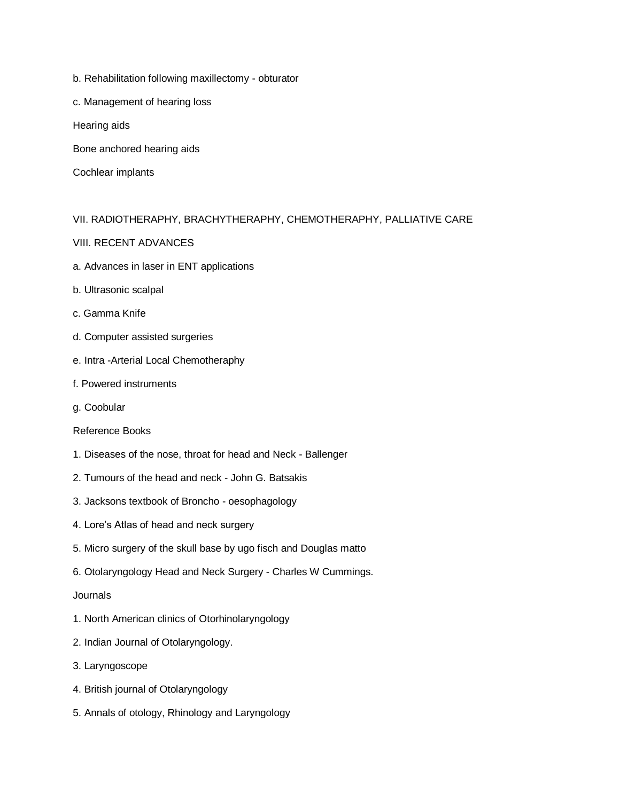- b. Rehabilitation following maxillectomy obturator
- c. Management of hearing loss
- Hearing aids
- Bone anchored hearing aids
- Cochlear implants

# VII. RADIOTHERAPHY, BRACHYTHERAPHY, CHEMOTHERAPHY, PALLIATIVE CARE

### VIII. RECENT ADVANCES

- a. Advances in laser in ENT applications
- b. Ultrasonic scalpal
- c. Gamma Knife
- d. Computer assisted surgeries
- e. Intra -Arterial Local Chemotheraphy
- f. Powered instruments
- g. Coobular

### Reference Books

- 1. Diseases of the nose, throat for head and Neck Ballenger
- 2. Tumours of the head and neck John G. Batsakis
- 3. Jacksons textbook of Broncho oesophagology
- 4. Lore's Atlas of head and neck surgery
- 5. Micro surgery of the skull base by ugo fisch and Douglas matto
- 6. Otolaryngology Head and Neck Surgery Charles W Cummings.

#### **Journals**

- 1. North American clinics of Otorhinolaryngology
- 2. Indian Journal of Otolaryngology.
- 3. Laryngoscope
- 4. British journal of Otolaryngology
- 5. Annals of otology, Rhinology and Laryngology